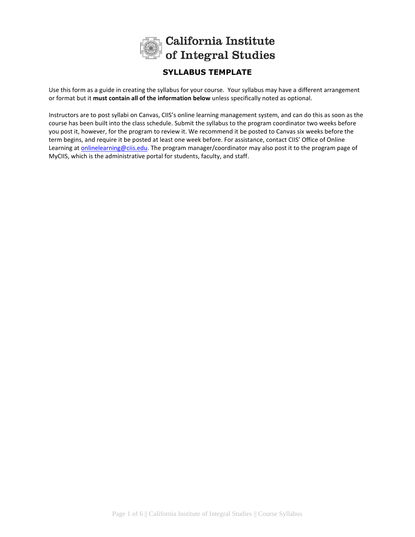

## **SYLLABUS TEMPLATE**

Use this form as a guide in creating the syllabus for your course. Your syllabus may have a different arrangement or format but it **must contain all of the information below** unless specifically noted as optional.

Instructors are to post syllabi on Canvas, CIIS's online learning management system, and can do this as soon as the course has been built into the class schedule. Submit the syllabus to the program coordinator two weeks before you post it, however, for the program to review it. We recommend it be posted to Canvas six weeks before the term begins, and require it be posted at least one week before. For assistance, contact CIIS' Office of Online Learning a[t onlinelearning@ciis.edu.](mailto:onlinelearning@ciis.edu) The program manager/coordinator may also post it to the program page of MyCIIS, which is the administrative portal for students, faculty, and staff.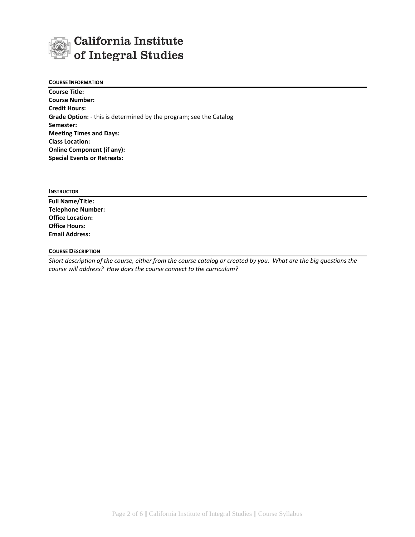# California Institute of Integral Studies

### **COURSE INFORMATION**

**Course Title: Course Number: Credit Hours: Grade Option:** - this is determined by the program; see the Catalog **Semester: Meeting Times and Days: Class Location: Online Component (if any): Special Events or Retreats:**

**INSTRUCTOR**

**Full Name/Title: Telephone Number: Office Location: Office Hours: Email Address:**

## **COURSE DESCRIPTION**

*Short description of the course, either from the course catalog or created by you. What are the big questions the course will address? How does the course connect to the curriculum?*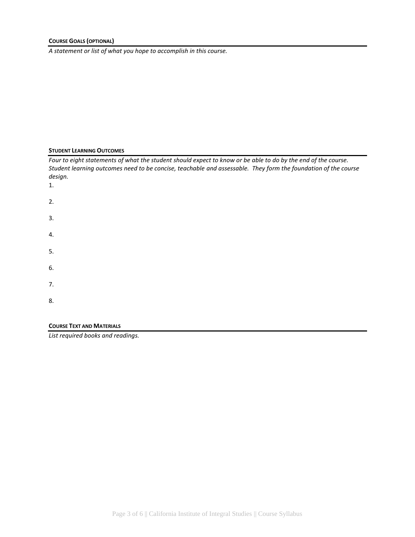*A statement or list of what you hope to accomplish in this course.*

## **STUDENT LEARNING OUTCOMES**

| Four to eight statements of what the student should expect to know or be able to do by the end of the course.<br>Student learning outcomes need to be concise, teachable and assessable. They form the foundation of the course<br>design.<br>1. |  |
|--------------------------------------------------------------------------------------------------------------------------------------------------------------------------------------------------------------------------------------------------|--|
| 2.                                                                                                                                                                                                                                               |  |
| 3.                                                                                                                                                                                                                                               |  |
| 4.                                                                                                                                                                                                                                               |  |
| 5.                                                                                                                                                                                                                                               |  |
| 6.                                                                                                                                                                                                                                               |  |
| 7.                                                                                                                                                                                                                                               |  |
| 8.                                                                                                                                                                                                                                               |  |
|                                                                                                                                                                                                                                                  |  |

## **COURSE TEXT AND MATERIALS**

*List required books and readings.*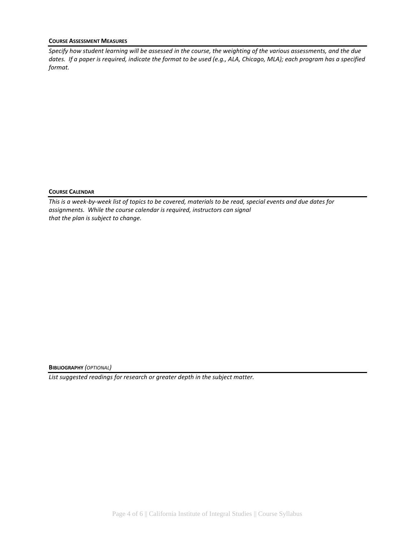#### **COURSE ASSESSMENT MEASURES**

*Specify how student learning will be assessed in the course, the weighting of the various assessments, and the due dates. If a paper is required, indicate the format to be used (e.g., ALA, Chicago, MLA); each program has a specified format.*

#### **COURSE CALENDAR**

*This is a week-by-week list of topics to be covered, materials to be read, special events and due dates for assignments. While the course calendar is required, instructors can signal that the plan is subject to change.*

**BIBLIOGRAPHY** *(OPTIONAL)*

*List suggested readings for research or greater depth in the subject matter.*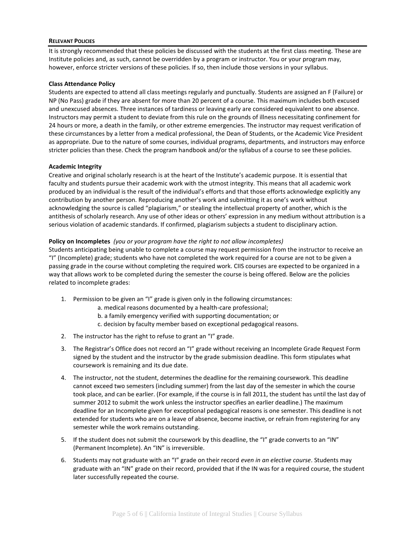#### **RELEVANT POLICIES**

It is strongly recommended that these policies be discussed with the students at the first class meeting. These are Institute policies and, as such, cannot be overridden by a program or instructor. You or your program may, however, enforce stricter versions of these policies. If so, then include those versions in your syllabus.

#### **Class Attendance Policy**

Students are expected to attend all class meetings regularly and punctually. Students are assigned an F (Failure) or NP (No Pass) grade if they are absent for more than 20 percent of a course. This maximum includes both excused and unexcused absences. Three instances of tardiness or leaving early are considered equivalent to one absence. Instructors may permit a student to deviate from this rule on the grounds of illness necessitating confinement for 24 hours or more, a death in the family, or other extreme emergencies. The instructor may request verification of these circumstances by a letter from a medical professional, the Dean of Students, or the Academic Vice President as appropriate. Due to the nature of some courses, individual programs, departments, and instructors may enforce stricter policies than these. Check the program handbook and/or the syllabus of a course to see these policies.

#### **Academic Integrity**

Creative and original scholarly research is at the heart of the Institute's academic purpose. It is essential that faculty and students pursue their academic work with the utmost integrity. This means that all academic work produced by an individual is the result of the individual's efforts and that those efforts acknowledge explicitly any contribution by another person. Reproducing another's work and submitting it as one's work without acknowledging the source is called "plagiarism," or stealing the intellectual property of another, which is the antithesis of scholarly research. Any use of other ideas or others' expression in any medium without attribution is a serious violation of academic standards. If confirmed, plagiarism subjects a student to disciplinary action.

#### **Policy on Incompletes** *(you or your program have the right to not allow incompletes)*

Students anticipating being unable to complete a course may request permission from the instructor to receive an "I" (Incomplete) grade; students who have not completed the work required for a course are not to be given a passing grade in the course without completing the required work. CIIS courses are expected to be organized in a way that allows work to be completed during the semester the course is being offered. Below are the policies related to incomplete grades:

- 1. Permission to be given an "I" grade is given only in the following circumstances:
	- a. medical reasons documented by a health-care professional;
	- b. a family emergency verified with supporting documentation; or
	- c. decision by faculty member based on exceptional pedagogical reasons.
- 2. The instructor has the right to refuse to grant an "I" grade.
- 3. The Registrar's Office does not record an "I" grade without receiving an Incomplete Grade Request Form signed by the student and the instructor by the grade submission deadline. This form stipulates what coursework is remaining and its due date.
- 4. The instructor, not the student, determines the deadline for the remaining coursework. This deadline cannot exceed two semesters (including summer) from the last day of the semester in which the course took place, and can be earlier. (For example, if the course is in fall 2011, the student has until the last day of summer 2012 to submit the work unless the instructor specifies an earlier deadline.) The maximum deadline for an Incomplete given for exceptional pedagogical reasons is one semester. This deadline is not extended for students who are on a leave of absence, become inactive, or refrain from registering for any semester while the work remains outstanding.
- 5. If the student does not submit the coursework by this deadline, the "I" grade converts to an "IN" (Permanent Incomplete). An "IN" is irreversible.
- 6. Students may not graduate with an "I" grade on their record *even in an elective course*. Students may graduate with an "IN" grade on their record, provided that if the IN was for a required course, the student later successfully repeated the course.